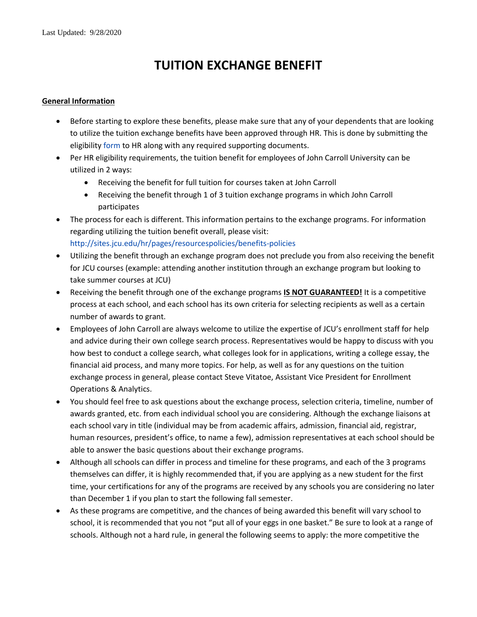# **TUITION EXCHANGE BENEFIT**

## **General Information**

- Before starting to explore these benefits, please make sure that any of your dependents that are looking to utilize the tuition exchange benefits have been approved through HR. This is done by submitting the eligibilit[y form](https://johncarrolluniversity.wufoo.com/forms/spouse-and-dependent-child-tuition-waiver-form/) to HR along with any required supporting documents.
- Per HR eligibility requirements, the tuition benefit for employees of John Carroll University can be utilized in 2 ways:
	- Receiving the benefit for full tuition for courses taken at John Carroll
	- Receiving the benefit through 1 of 3 tuition exchange programs in which John Carroll participates
- The process for each is different. This information pertains to the exchange programs. For information regarding utilizing the tuition benefit overall, please visit: [http://sites.jcu.edu/hr/pages/resourcespolicies/benefits-policies](http://sites.jcu.edu/hr/pages/resourcespolicies/benefits-policies/)
- Utilizing the benefit through an exchange program does not preclude you from also receiving the benefit for JCU courses (example: attending another institution through an exchange program but looking to take summer courses at JCU)
- Receiving the benefit through one of the exchange programs **IS NOT GUARANTEED!** It is a competitive process at each school, and each school has its own criteria for selecting recipients as well as a certain number of awards to grant.
- Employees of John Carroll are always welcome to utilize the expertise of JCU's enrollment staff for help and advice during their own college search process. Representatives would be happy to discuss with you how best to conduct a college search, what colleges look for in applications, writing a college essay, the financial aid process, and many more topics. For help, as well as for any questions on the tuition exchange process in general, please contact Steve Vitatoe, Assistant Vice President for Enrollment Operations & Analytics.
- You should feel free to ask questions about the exchange process, selection criteria, timeline, number of awards granted, etc. from each individual school you are considering. Although the exchange liaisons at each school vary in title (individual may be from academic affairs, admission, financial aid, registrar, human resources, president's office, to name a few), admission representatives at each school should be able to answer the basic questions about their exchange programs.
- Although all schools can differ in process and timeline for these programs, and each of the 3 programs themselves can differ, it is highly recommended that, if you are applying as a new student for the first time, your certifications for any of the programs are received by any schools you are considering no later than December 1 if you plan to start the following fall semester.
- As these programs are competitive, and the chances of being awarded this benefit will vary school to school, it is recommended that you not "put all of your eggs in one basket." Be sure to look at a range of schools. Although not a hard rule, in general the following seems to apply: the more competitive the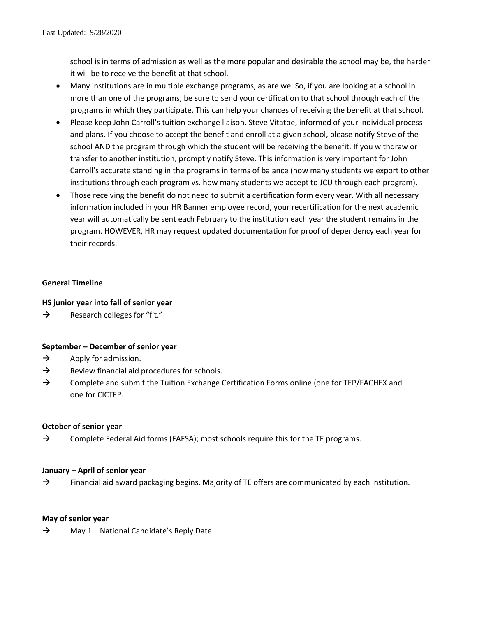school is in terms of admission as well as the more popular and desirable the school may be, the harder it will be to receive the benefit at that school.

- Many institutions are in multiple exchange programs, as are we. So, if you are looking at a school in more than one of the programs, be sure to send your certification to that school through each of the programs in which they participate. This can help your chances of receiving the benefit at that school.
- Please keep John Carroll's tuition exchange liaison, Steve Vitatoe, informed of your individual process and plans. If you choose to accept the benefit and enroll at a given school, please notify Steve of the school AND the program through which the student will be receiving the benefit. If you withdraw or transfer to another institution, promptly notify Steve. This information is very important for John Carroll's accurate standing in the programs in terms of balance (how many students we export to other institutions through each program vs. how many students we accept to JCU through each program).
- Those receiving the benefit do not need to submit a certification form every year. With all necessary information included in your HR Banner employee record, your recertification for the next academic year will automatically be sent each February to the institution each year the student remains in the program. HOWEVER, HR may request updated documentation for proof of dependency each year for their records.

## **General Timeline**

## **HS junior year into fall of senior year**

 $\rightarrow$  Research colleges for "fit."

## **September – December of senior year**

- $\rightarrow$  Apply for admission.
- $\rightarrow$  Review financial aid procedures for schools.
- $\rightarrow$  Complete and submit the Tuition Exchange Certification Forms online (one for TEP/FACHEX and one for CICTEP.

## **October of senior year**

 $\rightarrow$  Complete Federal Aid forms (FAFSA); most schools require this for the TE programs.

## **January – April of senior year**

 $\rightarrow$  Financial aid award packaging begins. Majority of TE offers are communicated by each institution.

## **May of senior year**

 $\rightarrow$  May 1 – National Candidate's Reply Date.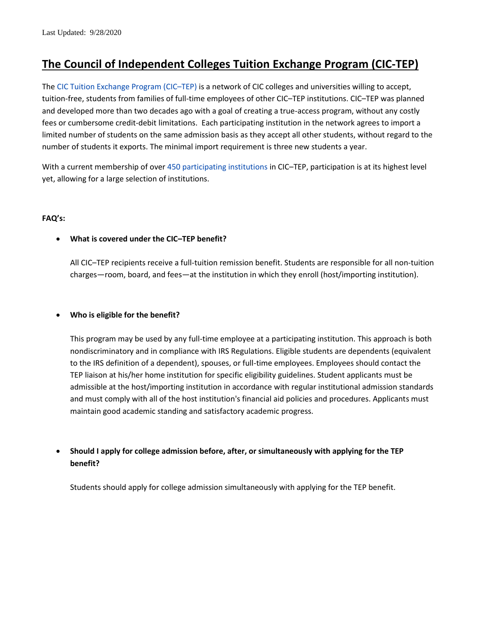## **The Council of Independent Colleges Tuition Exchange Program (CIC-TEP)**

The [CIC Tuition Exchange Program \(CIC](https://www.cic.edu/member-services/tuition-exchange-program)–TEP) is a network of CIC colleges and universities willing to accept, tuition-free, students from families of full-time employees of other CIC–TEP institutions. CIC–TEP was planned and developed more than two decades ago with a goal of creating a true-access program, without any costly fees or cumbersome credit-debit limitations. Each participating institution in the network agrees to import a limited number of students on the same admission basis as they accept all other students, without regard to the number of students it exports. The minimal import requirement is three new students a year.

With a current membership of over [450 participating institutions](https://www.cic.edu/member-services/tuition-exchange-program/participating-institutions) in CIC–TEP, participation is at its highest level yet, allowing for a large selection of institutions.

## **FAQ's:**

## **What is covered under the CIC–TEP benefit?**

All CIC–TEP recipients receive a full-tuition remission benefit. Students are responsible for all non-tuition charges—room, board, and fees—at the institution in which they enroll (host/importing institution).

## **Who is eligible for the benefit?**

This program may be used by any full-time employee at a participating institution. This approach is both nondiscriminatory and in compliance with IRS Regulations. Eligible students are dependents (equivalent to the IRS definition of a dependent), spouses, or full-time employees. Employees should contact the TEP liaison at his/her home institution for specific eligibility guidelines. Student applicants must be admissible at the host/importing institution in accordance with regular institutional admission standards and must comply with all of the host institution's financial aid policies and procedures. Applicants must maintain good academic standing and satisfactory academic progress.

 **Should I apply for college admission before, after, or simultaneously with applying for the TEP benefit?**

Students should apply for college admission simultaneously with applying for the TEP benefit.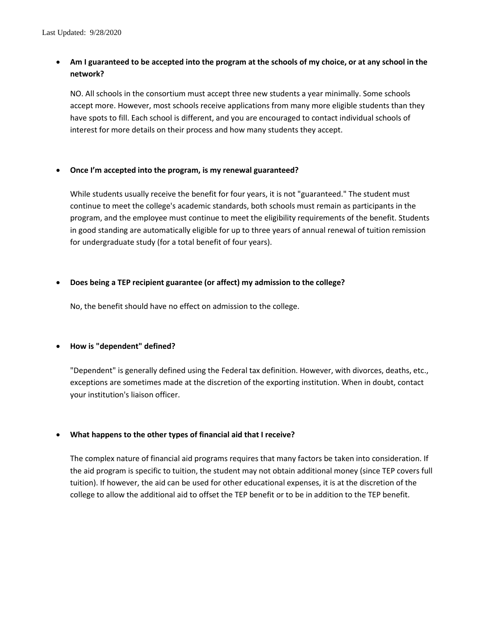## **Am I guaranteed to be accepted into the program at the schools of my choice, or at any school in the network?**

NO. All schools in the consortium must accept three new students a year minimally. Some schools accept more. However, most schools receive applications from many more eligible students than they have spots to fill. Each school is different, and you are encouraged to contact individual schools of interest for more details on their process and how many students they accept.

#### **Once I'm accepted into the program, is my renewal guaranteed?**

While students usually receive the benefit for four years, it is not "guaranteed." The student must continue to meet the college's academic standards, both schools must remain as participants in the program, and the employee must continue to meet the eligibility requirements of the benefit. Students in good standing are automatically eligible for up to three years of annual renewal of tuition remission for undergraduate study (for a total benefit of four years).

## **Does being a TEP recipient guarantee (or affect) my admission to the college?**

No, the benefit should have no effect on admission to the college.

## **How is "dependent" defined?**

"Dependent" is generally defined using the Federal tax definition. However, with divorces, deaths, etc., exceptions are sometimes made at the discretion of the exporting institution. When in doubt, contact your institution's liaison officer.

## **What happens to the other types of financial aid that I receive?**

The complex nature of financial aid programs requires that many factors be taken into consideration. If the aid program is specific to tuition, the student may not obtain additional money (since TEP covers full tuition). If however, the aid can be used for other educational expenses, it is at the discretion of the college to allow the additional aid to offset the TEP benefit or to be in addition to the TEP benefit.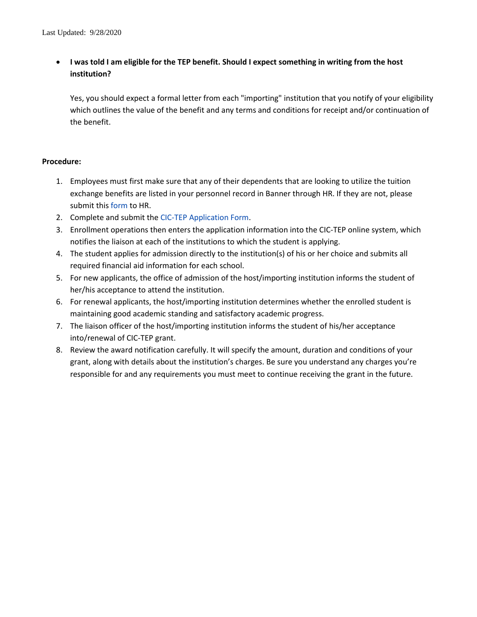## **I was told I am eligible for the TEP benefit. Should I expect something in writing from the host institution?**

Yes, you should expect a formal letter from each "importing" institution that you notify of your eligibility which outlines the value of the benefit and any terms and conditions for receipt and/or continuation of the benefit.

## **Procedure:**

- 1. Employees must first make sure that any of their dependents that are looking to utilize the tuition exchange benefits are listed in your personnel record in Banner through HR. If they are not, please submit this [form](https://johncarrolluniversity.wufoo.com/forms/spouse-and-dependent-child-tuition-waiver-form/) to HR.
- 2. Complete and submit the [CIC-TEP Application Form.](https://admission.jcu.edu/register/?id=6ba0e280-5285-4acf-bde1-bc27f4acde38)
- 3. Enrollment operations then enters the application information into the CIC-TEP online system, which notifies the liaison at each of the institutions to which the student is applying.
- 4. The student applies for admission directly to the institution(s) of his or her choice and submits all required financial aid information for each school.
- 5. For new applicants, the office of admission of the host/importing institution informs the student of her/his acceptance to attend the institution.
- 6. For renewal applicants, the host/importing institution determines whether the enrolled student is maintaining good academic standing and satisfactory academic progress.
- 7. The liaison officer of the host/importing institution informs the student of his/her acceptance into/renewal of CIC-TEP grant.
- 8. Review the award notification carefully. It will specify the amount, duration and conditions of your grant, along with details about the institution's charges. Be sure you understand any charges you're responsible for and any requirements you must meet to continue receiving the grant in the future.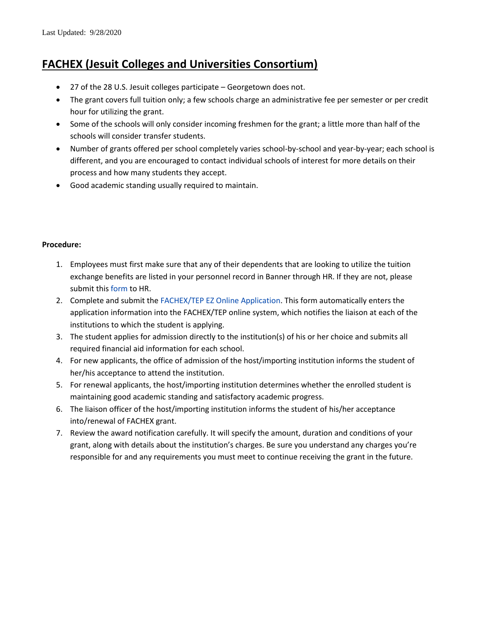## **FACHEX (Jesuit Colleges and Universities Consortium)**

- 27 of the 28 U.S. Jesuit colleges participate Georgetown does not.
- The grant covers full tuition only; a few schools charge an administrative fee per semester or per credit hour for utilizing the grant.
- Some of the schools will only consider incoming freshmen for the grant; a little more than half of the schools will consider transfer students.
- Number of grants offered per school completely varies school-by-school and year-by-year; each school is different, and you are encouraged to contact individual schools of interest for more details on their process and how many students they accept.
- Good academic standing usually required to maintain.

## **Procedure:**

- 1. Employees must first make sure that any of their dependents that are looking to utilize the tuition exchange benefits are listed in your personnel record in Banner through HR. If they are not, please submit this [form](https://johncarrolluniversity.wufoo.com/forms/spouse-and-dependent-child-tuition-waiver-form/) to HR.
- 2. Complete and submit the [FACHEX/TEP EZ Online Application.](https://telo.tuitionexchange.org/apply.cfm) This form automatically enters the application information into the FACHEX/TEP online system, which notifies the liaison at each of the institutions to which the student is applying.
- 3. The student applies for admission directly to the institution(s) of his or her choice and submits all required financial aid information for each school.
- 4. For new applicants, the office of admission of the host/importing institution informs the student of her/his acceptance to attend the institution.
- 5. For renewal applicants, the host/importing institution determines whether the enrolled student is maintaining good academic standing and satisfactory academic progress.
- 6. The liaison officer of the host/importing institution informs the student of his/her acceptance into/renewal of FACHEX grant.
- 7. Review the award notification carefully. It will specify the amount, duration and conditions of your grant, along with details about the institution's charges. Be sure you understand any charges you're responsible for and any requirements you must meet to continue receiving the grant in the future.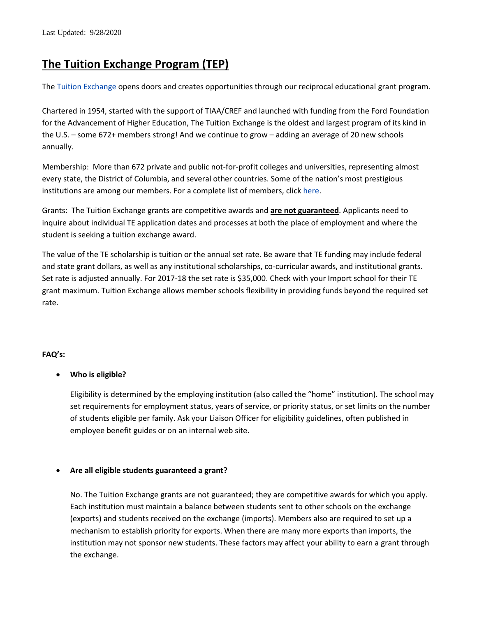## **The Tuition Exchange Program (TEP)**

The [Tuition Exchange](https://www.tuitionexchange.org/) opens doors and creates opportunities through our reciprocal educational grant program.

Chartered in 1954, started with the support of TIAA/CREF and launched with funding from the Ford Foundation for the Advancement of Higher Education, The Tuition Exchange is the oldest and largest program of its kind in the U.S. – some 672+ members strong! And we continue to grow – adding an average of 20 new schools annually.

Membership: More than 672 private and public not-for-profit colleges and universities, representing almost every state, the District of Columbia, and several other countries. Some of the nation's most prestigious institutions are among our members. For a complete list of members, click [here.](https://telo.tuitionexchange.org/search.cfm)

Grants: The Tuition Exchange grants are competitive awards and **are not guaranteed**. Applicants need to inquire about individual TE application dates and processes at both the place of employment and where the student is seeking a tuition exchange award.

The value of the TE scholarship is tuition or the annual set rate. Be aware that TE funding may include federal and state grant dollars, as well as any institutional scholarships, co-curricular awards, and institutional grants. Set rate is adjusted annually. For 2017-18 the set rate is \$35,000. Check with your Import school for their TE grant maximum. Tuition Exchange allows member schools flexibility in providing funds beyond the required set rate.

## **FAQ's:**

## **Who is eligible?**

Eligibility is determined by the employing institution (also called the "home" institution). The school may set requirements for employment status, years of service, or priority status, or set limits on the number of students eligible per family. Ask your Liaison Officer for eligibility guidelines, often published in employee benefit guides or on an internal web site.

## **Are all eligible students guaranteed a grant?**

No. The Tuition Exchange grants are not guaranteed; they are competitive awards for which you apply. Each institution must maintain a balance between students sent to other schools on the exchange (exports) and students received on the exchange (imports). Members also are required to set up a mechanism to establish priority for exports. When there are many more exports than imports, the institution may not sponsor new students. These factors may affect your ability to earn a grant through the exchange.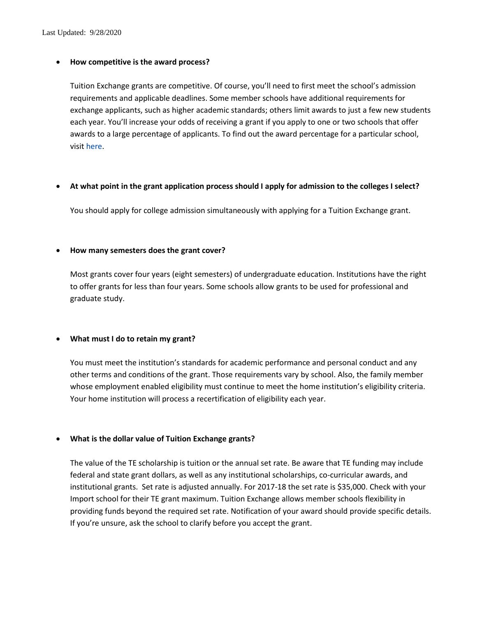#### **How competitive is the award process?**

Tuition Exchange grants are competitive. Of course, you'll need to first meet the school's admission requirements and applicable deadlines. Some member schools have additional requirements for exchange applicants, such as higher academic standards; others limit awards to just a few new students each year. You'll increase your odds of receiving a grant if you apply to one or two schools that offer awards to a large percentage of applicants. To find out the award percentage for a particular school, visit [here.](https://telo.tuitionexchange.org/search.cfm?)

#### **At what point in the grant application process should I apply for admission to the colleges I select?**

You should apply for college admission simultaneously with applying for a Tuition Exchange grant.

#### **How many semesters does the grant cover?**

Most grants cover four years (eight semesters) of undergraduate education. Institutions have the right to offer grants for less than four years. Some schools allow grants to be used for professional and graduate study.

#### **What must I do to retain my grant?**

You must meet the institution's standards for academic performance and personal conduct and any other terms and conditions of the grant. Those requirements vary by school. Also, the family member whose employment enabled eligibility must continue to meet the home institution's eligibility criteria. Your home institution will process a recertification of eligibility each year.

#### **What is the dollar value of Tuition Exchange grants?**

The value of the TE scholarship is tuition or the annual set rate. Be aware that TE funding may include federal and state grant dollars, as well as any institutional scholarships, co-curricular awards, and institutional grants. Set rate is adjusted annually. For 2017-18 the set rate is \$35,000. Check with your Import school for their TE grant maximum. Tuition Exchange allows member schools flexibility in providing funds beyond the required set rate. Notification of your award should provide specific details. If you're unsure, ask the school to clarify before you accept the grant.